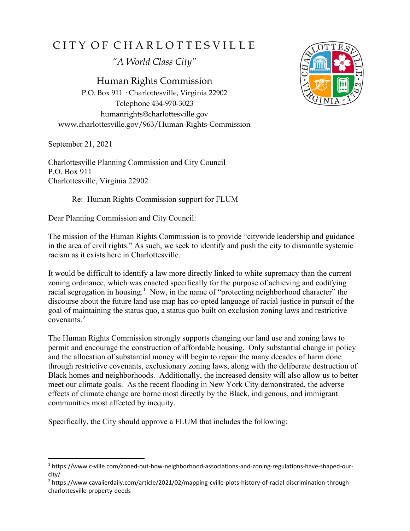## CITY OF CHARLOTTESVILLE

*"A World Class City"*

Human Rights Commission P.O. Box 911 · Charlottesville, Virginia 22902 Telephone 434-970-3023 humanrights@charlottesville.gov www.charlottesville.gov/963/Human-Rights-Commission

September 21, 2021

Charlottesville Planning Commission and City Council P.O. Box 911 Charlottesville, Virginia 22902

Re: Human Rights Commission support for FLUM

Dear Planning Commission and City Council:

The mission of the Human Rights Commission is to provide "citywide leadership and guidance in the area of civil rights." As such, we seek to identify and push the city to dismantle systemic racism as it exists here in Charlottesville.

It would be difficult to identify a law more directly linked to white supremacy than the current zoning ordinance, which was enacted specifically for the purpose of achieving and codifying racial segregation in housing.<sup>[1](#page-0-0)</sup> Now, in the name of "protecting neighborhood character" the discourse about the future land use map has co-opted language of racial justice in pursuit of the goal of maintaining the status quo, a status quo built on exclusion zoning laws and restrictive covenants.[2](#page-0-1)

The Human Rights Commission strongly supports changing our land use and zoning laws to permit and encourage the construction of affordable housing. Only substantial change in policy and the allocation of substantial money will begin to repair the many decades of harm done through restrictive covenants, exclusionary zoning laws, along with the deliberate destruction of Black homes and neighborhoods. Additionally, the increased density will also allow us to better meet our climate goals. As the recent flooding in New York City demonstrated, the adverse effects of climate change are borne most directly by the Black, indigenous, and immigrant communities most affected by inequity.

Specifically, the City should approve a FLUM that includes the following:



<span id="page-0-0"></span><sup>1</sup> https://www.c-ville.com/zoned-out-how-neighborhood-associations-and-zoning-regulations-have-shaped-ourcity/

<span id="page-0-1"></span><sup>2</sup> https://www.cavalierdaily.com/article/2021/02/mapping-cville-plots-history-of-racial-discrimination-throughcharlottesville-property-deeds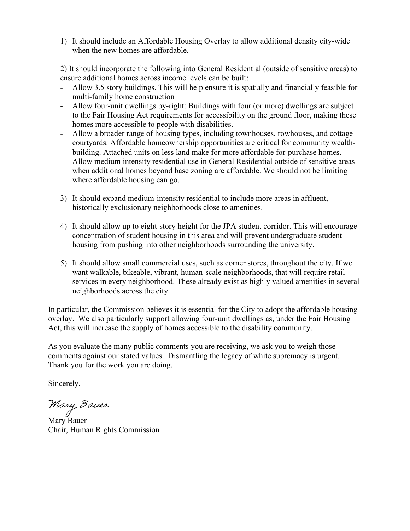1) It should include an Affordable Housing Overlay to allow additional density city-wide when the new homes are affordable.

2) It should incorporate the following into General Residential (outside of sensitive areas) to ensure additional homes across income levels can be built:

- Allow 3.5 story buildings. This will help ensure it is spatially and financially feasible for multi-family home construction
- Allow four-unit dwellings by-right: Buildings with four (or more) dwellings are subject to the Fair Housing Act requirements for accessibility on the ground floor, making these homes more accessible to people with disabilities.
- Allow a broader range of housing types, including townhouses, rowhouses, and cottage courtyards. Affordable homeownership opportunities are critical for community wealthbuilding. Attached units on less land make for more affordable for-purchase homes.
- Allow medium intensity residential use in General Residential outside of sensitive areas when additional homes beyond base zoning are affordable. We should not be limiting where affordable housing can go.
- 3) It should expand medium-intensity residential to include more areas in affluent, historically exclusionary neighborhoods close to amenities.
- 4) It should allow up to eight-story height for the JPA student corridor. This will encourage concentration of student housing in this area and will prevent undergraduate student housing from pushing into other neighborhoods surrounding the university.
- 5) It should allow small commercial uses, such as corner stores, throughout the city. If we want walkable, bikeable, vibrant, human-scale neighborhoods, that will require retail services in every neighborhood. These already exist as highly valued amenities in several neighborhoods across the city.

In particular, the Commission believes it is essential for the City to adopt the affordable housing overlay. We also particularly support allowing four-unit dwellings as, under the Fair Housing Act, this will increase the supply of homes accessible to the disability community.

As you evaluate the many public comments you are receiving, we ask you to weigh those comments against our stated values. Dismantling the legacy of white supremacy is urgent. Thank you for the work you are doing.

Sincerely,

Mary Bauer<br>Mary Bauer

Chair, Human Rights Commission